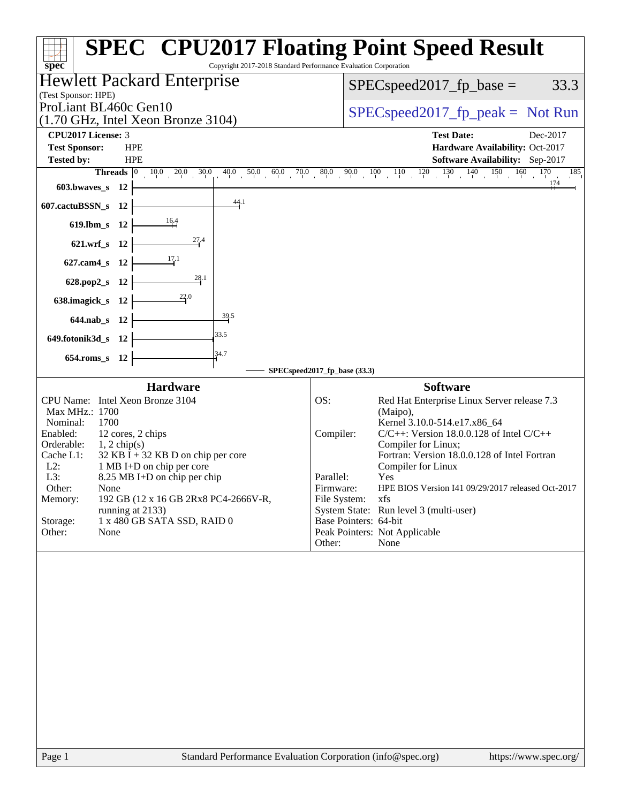|                                                                                                                                                                                                                                                                                                                                                                                                                                                     | <b>SPEC<sup>®</sup> CPU2017 Floating Point Speed Result</b>                                                                                                                                                                                                                                                                                                                                                                                                                                   |
|-----------------------------------------------------------------------------------------------------------------------------------------------------------------------------------------------------------------------------------------------------------------------------------------------------------------------------------------------------------------------------------------------------------------------------------------------------|-----------------------------------------------------------------------------------------------------------------------------------------------------------------------------------------------------------------------------------------------------------------------------------------------------------------------------------------------------------------------------------------------------------------------------------------------------------------------------------------------|
| Copyright 2017-2018 Standard Performance Evaluation Corporation<br>$spec*$                                                                                                                                                                                                                                                                                                                                                                          |                                                                                                                                                                                                                                                                                                                                                                                                                                                                                               |
| <b>Hewlett Packard Enterprise</b>                                                                                                                                                                                                                                                                                                                                                                                                                   | 33.3<br>$SPEC speed2017_fp\_base =$                                                                                                                                                                                                                                                                                                                                                                                                                                                           |
| (Test Sponsor: HPE)<br>ProLiant BL460c Gen10<br>$(1.70 \text{ GHz}, \text{Intel Xeon Bronze } 3104)$                                                                                                                                                                                                                                                                                                                                                | $SPEC speed2017rfp peak = Not Run$                                                                                                                                                                                                                                                                                                                                                                                                                                                            |
| CPU2017 License: 3                                                                                                                                                                                                                                                                                                                                                                                                                                  | <b>Test Date:</b><br>Dec-2017                                                                                                                                                                                                                                                                                                                                                                                                                                                                 |
| <b>Test Sponsor:</b><br><b>HPE</b>                                                                                                                                                                                                                                                                                                                                                                                                                  | Hardware Availability: Oct-2017                                                                                                                                                                                                                                                                                                                                                                                                                                                               |
| <b>Tested by:</b><br><b>HPE</b>                                                                                                                                                                                                                                                                                                                                                                                                                     | Software Availability: Sep-2017                                                                                                                                                                                                                                                                                                                                                                                                                                                               |
| <b>Threads</b> $\begin{bmatrix} 0 & 10.0 & 20.0 & 30.0 \end{bmatrix}$<br>$603.bwaves$ $12$                                                                                                                                                                                                                                                                                                                                                          | $\frac{40.0}{7} \quad \frac{50.0}{10} \quad \frac{60.0}{10} \quad \frac{70.0}{7} \quad \frac{80.0}{10} \quad \frac{90.0}{10} \quad \frac{100}{10} \quad \frac{110}{10} \quad \frac{120}{10} \quad \frac{130}{10} \quad \frac{140}{10} \quad \frac{150}{10} \quad \frac{160}{10} \quad \frac{170}{10}$<br>185<br>174                                                                                                                                                                           |
| 44.1<br>607.cactuBSSN_s 12                                                                                                                                                                                                                                                                                                                                                                                                                          |                                                                                                                                                                                                                                                                                                                                                                                                                                                                                               |
| $\frac{16.4}{1}$<br>619.lbm_s 12                                                                                                                                                                                                                                                                                                                                                                                                                    |                                                                                                                                                                                                                                                                                                                                                                                                                                                                                               |
| 27.4<br>621.wrf_s 12                                                                                                                                                                                                                                                                                                                                                                                                                                |                                                                                                                                                                                                                                                                                                                                                                                                                                                                                               |
| $\frac{17.1}{2}$<br>627.cam4_s 12                                                                                                                                                                                                                                                                                                                                                                                                                   |                                                                                                                                                                                                                                                                                                                                                                                                                                                                                               |
| $\frac{28.1}{5}$<br>628.pop2_s 12                                                                                                                                                                                                                                                                                                                                                                                                                   |                                                                                                                                                                                                                                                                                                                                                                                                                                                                                               |
| $\frac{22.0}{4}$<br>638.imagick_s 12                                                                                                                                                                                                                                                                                                                                                                                                                |                                                                                                                                                                                                                                                                                                                                                                                                                                                                                               |
| $\frac{39.5}{4}$<br>644.nab_s 12                                                                                                                                                                                                                                                                                                                                                                                                                    |                                                                                                                                                                                                                                                                                                                                                                                                                                                                                               |
| 33.5<br>649.fotonik3d_s 12                                                                                                                                                                                                                                                                                                                                                                                                                          |                                                                                                                                                                                                                                                                                                                                                                                                                                                                                               |
| 34.7<br>654.roms_s 12                                                                                                                                                                                                                                                                                                                                                                                                                               |                                                                                                                                                                                                                                                                                                                                                                                                                                                                                               |
|                                                                                                                                                                                                                                                                                                                                                                                                                                                     | SPECspeed2017_fp_base (33.3)                                                                                                                                                                                                                                                                                                                                                                                                                                                                  |
| <b>Hardware</b><br>CPU Name: Intel Xeon Bronze 3104<br>Max MHz.: 1700<br>1700<br>Nominal:<br>12 cores, 2 chips<br>Enabled:<br>Orderable:<br>$1, 2$ chip(s)<br>$32$ KB I + 32 KB D on chip per core<br>Cache L1:<br>$L2$ :<br>1 MB I+D on chip per core<br>L3:<br>8.25 MB I+D on chip per chip<br>Other:<br>None<br>Memory:<br>192 GB (12 x 16 GB 2Rx8 PC4-2666V-R,<br>running at 2133)<br>1 x 480 GB SATA SSD, RAID 0<br>Storage:<br>Other:<br>None | <b>Software</b><br>OS:<br>Red Hat Enterprise Linux Server release 7.3<br>(Maipo),<br>Kernel 3.10.0-514.e17.x86 64<br>$C/C++$ : Version 18.0.0.128 of Intel $C/C++$<br>Compiler:<br>Compiler for Linux;<br>Fortran: Version 18.0.0.128 of Intel Fortran<br>Compiler for Linux<br>Parallel:<br>Yes<br>HPE BIOS Version I41 09/29/2017 released Oct-2017<br>Firmware:<br>File System:<br>xfs<br>System State: Run level 3 (multi-user)<br>Base Pointers: 64-bit<br>Peak Pointers: Not Applicable |
|                                                                                                                                                                                                                                                                                                                                                                                                                                                     | Other:<br>None                                                                                                                                                                                                                                                                                                                                                                                                                                                                                |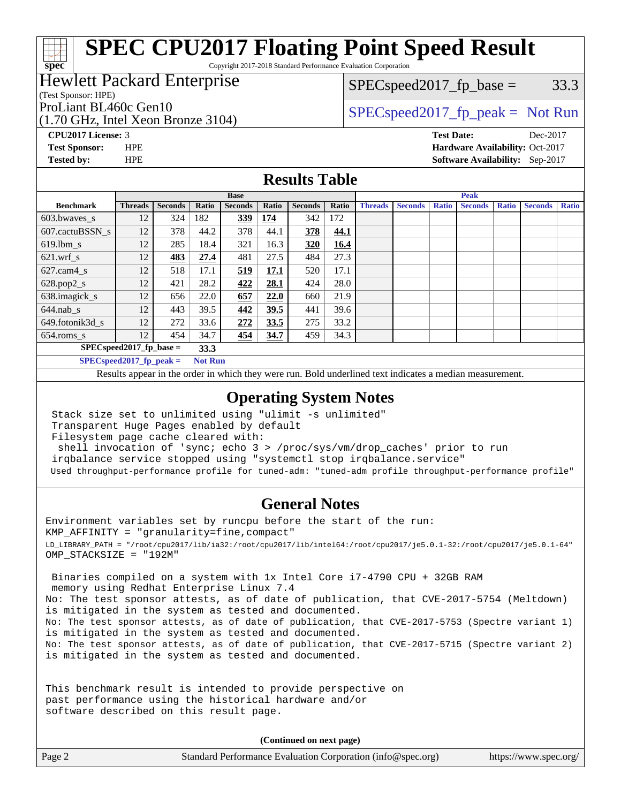Copyright 2017-2018 Standard Performance Evaluation Corporation

### Hewlett Packard Enterprise

(Test Sponsor: HPE)

(1.70 GHz, Intel Xeon Bronze 3104)

 $SPEC speed2017_fp\_base = 33.3$ 

## ProLiant BL460c Gen10  $SPEC speed2017_fp\_peak = Not Run$

**[CPU2017 License:](http://www.spec.org/auto/cpu2017/Docs/result-fields.html#CPU2017License)** 3 **[Test Date:](http://www.spec.org/auto/cpu2017/Docs/result-fields.html#TestDate)** Dec-2017 **[Test Sponsor:](http://www.spec.org/auto/cpu2017/Docs/result-fields.html#TestSponsor)** HPE **[Hardware Availability:](http://www.spec.org/auto/cpu2017/Docs/result-fields.html#HardwareAvailability)** Oct-2017 **[Tested by:](http://www.spec.org/auto/cpu2017/Docs/result-fields.html#Testedby)** HPE **[Software Availability:](http://www.spec.org/auto/cpu2017/Docs/result-fields.html#SoftwareAvailability)** Sep-2017

#### **[Results Table](http://www.spec.org/auto/cpu2017/Docs/result-fields.html#ResultsTable)**

|                                    | <b>Base</b>                |                |                |                | <b>Peak</b> |                |       |                |                |              |                |              |                |              |
|------------------------------------|----------------------------|----------------|----------------|----------------|-------------|----------------|-------|----------------|----------------|--------------|----------------|--------------|----------------|--------------|
| <b>Benchmark</b>                   | <b>Threads</b>             | <b>Seconds</b> | Ratio          | <b>Seconds</b> | Ratio       | <b>Seconds</b> | Ratio | <b>Threads</b> | <b>Seconds</b> | <b>Ratio</b> | <b>Seconds</b> | <b>Ratio</b> | <b>Seconds</b> | <b>Ratio</b> |
| $603.bwaves$ s                     | 12                         | 324            | 182            | <u>339</u>     | 174         | 342            | 172   |                |                |              |                |              |                |              |
| 607.cactuBSSN s                    | 12                         | 378            | 44.2           | 378            | 44.1        | 378            | 44.1  |                |                |              |                |              |                |              |
| $619.1$ bm s                       | 12                         | 285            | 18.4           | 321            | 16.3        | 320            | 16.4  |                |                |              |                |              |                |              |
| $621.wrf$ s                        | 12                         | 483            | 27.4           | 481            | 27.5        | 484            | 27.3  |                |                |              |                |              |                |              |
| $627.cam4_s$                       | 12                         | 518            | 17.1           | 519            | 17.1        | 520            | 17.1  |                |                |              |                |              |                |              |
| $628.pop2_s$                       | 12                         | 421            | 28.2           | 422            | 28.1        | 424            | 28.0  |                |                |              |                |              |                |              |
| 638.imagick_s                      | 12                         | 656            | 22.0           | 657            | 22.0        | 660            | 21.9  |                |                |              |                |              |                |              |
| $644$ .nab s                       | 12                         | 443            | 39.5           | 442            | 39.5        | 441            | 39.6  |                |                |              |                |              |                |              |
| 649.fotonik3d s                    | 12                         | 272            | 33.6           | 272            | 33.5        | 275            | 33.2  |                |                |              |                |              |                |              |
| $654$ .roms s                      | 12                         | 454            | 34.7           | 454            | 34.7        | 459            | 34.3  |                |                |              |                |              |                |              |
| $SPEC speed2017$ fp base =<br>33.3 |                            |                |                |                |             |                |       |                |                |              |                |              |                |              |
|                                    | $SPECspeed2017_fp\_peak =$ |                | <b>Not Run</b> |                |             |                |       |                |                |              |                |              |                |              |

Results appear in the [order in which they were run.](http://www.spec.org/auto/cpu2017/Docs/result-fields.html#RunOrder) Bold underlined text [indicates a median measurement](http://www.spec.org/auto/cpu2017/Docs/result-fields.html#Median).

#### **[Operating System Notes](http://www.spec.org/auto/cpu2017/Docs/result-fields.html#OperatingSystemNotes)**

Stack size set to unlimited using "ulimit -s unlimited"

Transparent Huge Pages enabled by default

Filesystem page cache cleared with:

 shell invocation of 'sync; echo 3 > /proc/sys/vm/drop\_caches' prior to run irqbalance service stopped using "systemctl stop irqbalance.service"

Used throughput-performance profile for tuned-adm: "tuned-adm profile throughput-performance profile"

#### **[General Notes](http://www.spec.org/auto/cpu2017/Docs/result-fields.html#GeneralNotes)**

Environment variables set by runcpu before the start of the run: KMP\_AFFINITY = "granularity=fine,compact" LD\_LIBRARY\_PATH = "/root/cpu2017/lib/ia32:/root/cpu2017/lib/intel64:/root/cpu2017/je5.0.1-32:/root/cpu2017/je5.0.1-64" OMP\_STACKSIZE = "192M"

 Binaries compiled on a system with 1x Intel Core i7-4790 CPU + 32GB RAM memory using Redhat Enterprise Linux 7.4 No: The test sponsor attests, as of date of publication, that CVE-2017-5754 (Meltdown) is mitigated in the system as tested and documented. No: The test sponsor attests, as of date of publication, that CVE-2017-5753 (Spectre variant 1) is mitigated in the system as tested and documented. No: The test sponsor attests, as of date of publication, that CVE-2017-5715 (Spectre variant 2) is mitigated in the system as tested and documented.

This benchmark result is intended to provide perspective on past performance using the historical hardware and/or software described on this result page.

**(Continued on next page)**

| Page 2<br>Standard Performance Evaluation Corporation (info@spec.org)<br>https://www.spec.org/ |
|------------------------------------------------------------------------------------------------|
|------------------------------------------------------------------------------------------------|

**[spec](http://www.spec.org/)**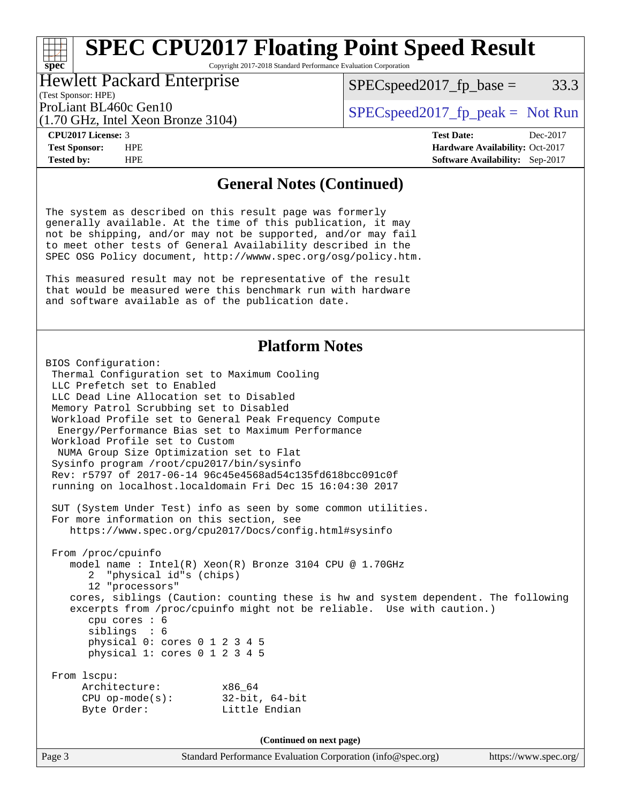Copyright 2017-2018 Standard Performance Evaluation Corporation

#### Hewlett Packard Enterprise

 $SPEC speed2017_fp\_base = 33.3$ 

(Test Sponsor: HPE) (1.70 GHz, Intel Xeon Bronze 3104)

ProLiant BL460c Gen10  $SPEC speed2017_fp\_peak = Not Run$ 

**[spec](http://www.spec.org/)**

**[Tested by:](http://www.spec.org/auto/cpu2017/Docs/result-fields.html#Testedby)** HPE **[Software Availability:](http://www.spec.org/auto/cpu2017/Docs/result-fields.html#SoftwareAvailability)** Sep-2017

**[CPU2017 License:](http://www.spec.org/auto/cpu2017/Docs/result-fields.html#CPU2017License)** 3 **[Test Date:](http://www.spec.org/auto/cpu2017/Docs/result-fields.html#TestDate)** Dec-2017 **[Test Sponsor:](http://www.spec.org/auto/cpu2017/Docs/result-fields.html#TestSponsor)** HPE **[Hardware Availability:](http://www.spec.org/auto/cpu2017/Docs/result-fields.html#HardwareAvailability)** Oct-2017

#### **[General Notes \(Continued\)](http://www.spec.org/auto/cpu2017/Docs/result-fields.html#GeneralNotes)**

The system as described on this result page was formerly generally available. At the time of this publication, it may not be shipping, and/or may not be supported, and/or may fail to meet other tests of General Availability described in the SPEC OSG Policy document, <http://wwww.spec.org/osg/policy.htm.>

This measured result may not be representative of the result that would be measured were this benchmark run with hardware and software available as of the publication date.

#### **[Platform Notes](http://www.spec.org/auto/cpu2017/Docs/result-fields.html#PlatformNotes)**

```
BIOS Configuration:
Thermal Configuration set to Maximum Cooling
LLC Prefetch set to Enabled
LLC Dead Line Allocation set to Disabled
Memory Patrol Scrubbing set to Disabled
 Workload Profile set to General Peak Frequency Compute
 Energy/Performance Bias set to Maximum Performance
 Workload Profile set to Custom
 NUMA Group Size Optimization set to Flat
 Sysinfo program /root/cpu2017/bin/sysinfo
Rev: r5797 of 2017-06-14 96c45e4568ad54c135fd618bcc091c0f
 running on localhost.localdomain Fri Dec 15 16:04:30 2017
 SUT (System Under Test) info as seen by some common utilities.
 For more information on this section, see
   https://www.spec.org/cpu2017/Docs/config.html#sysinfo
 From /proc/cpuinfo
   model name : Intel(R) Xeon(R) Bronze 3104 CPU @ 1.70GHz
       2 "physical id"s (chips)
       12 "processors"
    cores, siblings (Caution: counting these is hw and system dependent. The following
    excerpts from /proc/cpuinfo might not be reliable. Use with caution.)
      cpu cores : 6
       siblings : 6
      physical 0: cores 0 1 2 3 4 5
      physical 1: cores 0 1 2 3 4 5
 From lscpu:
     Architecture: x86_64
     CPU op-mode(s): 32-bit, 64-bit
    Byte Order: Little Endian
                                  (Continued on next page)
```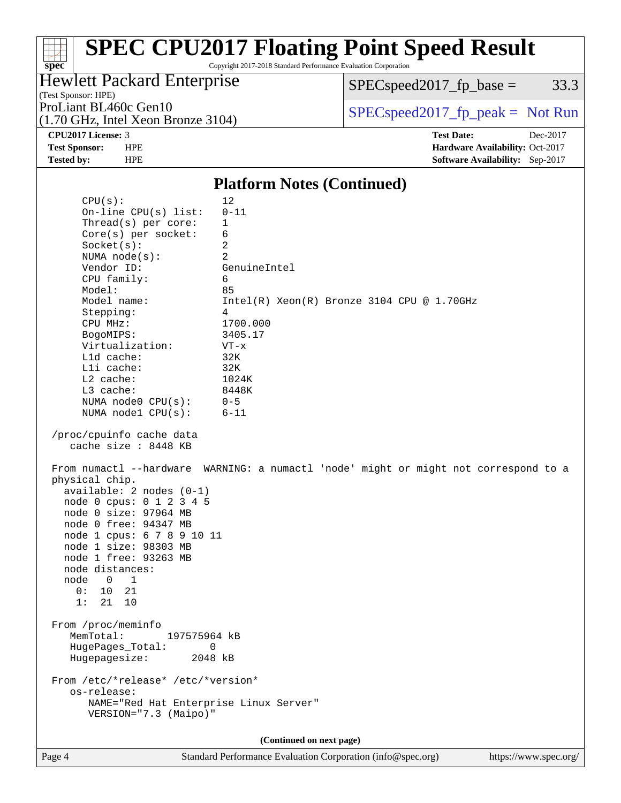Copyright 2017-2018 Standard Performance Evaluation Corporation

## Hewlett Packard Enterprise

 $SPECspeed2017_fp\_base = 33.3$ 

(Test Sponsor: HPE)

(1.70 GHz, Intel Xeon Bronze 3104)

ProLiant BL460c Gen10  $SPEC speed2017_fp\_peak = Not Run$ 

**[spec](http://www.spec.org/)**

**[CPU2017 License:](http://www.spec.org/auto/cpu2017/Docs/result-fields.html#CPU2017License)** 3 **[Test Date:](http://www.spec.org/auto/cpu2017/Docs/result-fields.html#TestDate)** Dec-2017 **[Test Sponsor:](http://www.spec.org/auto/cpu2017/Docs/result-fields.html#TestSponsor)** HPE **[Hardware Availability:](http://www.spec.org/auto/cpu2017/Docs/result-fields.html#HardwareAvailability)** Oct-2017 **[Tested by:](http://www.spec.org/auto/cpu2017/Docs/result-fields.html#Testedby)** HPE **[Software Availability:](http://www.spec.org/auto/cpu2017/Docs/result-fields.html#SoftwareAvailability)** Sep-2017

#### **[Platform Notes \(Continued\)](http://www.spec.org/auto/cpu2017/Docs/result-fields.html#PlatformNotes)**

| CPU(s):<br>On-line $CPU(s)$ list:<br>Thread(s) per core:<br>$Core(s)$ per socket:<br>Socket(s):<br>NUMA $node(s):$<br>Vendor ID:<br>CPU family:                                                                                                                                                                                                                        | 12<br>$0 - 11$<br>1<br>6<br>2<br>2<br>GenuineIntel<br>6                                                                                       |
|------------------------------------------------------------------------------------------------------------------------------------------------------------------------------------------------------------------------------------------------------------------------------------------------------------------------------------------------------------------------|-----------------------------------------------------------------------------------------------------------------------------------------------|
| Model:<br>Model name:<br>Stepping:<br>CPU MHz:<br>BogoMIPS:<br>Virtualization:<br>L1d cache:<br>Lli cache:<br>L2 cache:<br>L3 cache:<br>NUMA node0 CPU(s):<br>NUMA nodel CPU(s):                                                                                                                                                                                       | 85<br>$Intel(R) Xeon(R) Bronze 3104 CPU @ 1.70GHz$<br>4<br>1700.000<br>3405.17<br>$VT - x$<br>32K<br>32K<br>1024K<br>8448K<br>$0 - 5$<br>6-11 |
| /proc/cpuinfo cache data<br>cache size : 8448 KB<br>From numactl --hardware<br>physical chip.<br>$available: 2 nodes (0-1)$<br>node 0 cpus: 0 1 2 3 4 5<br>node 0 size: 97964 MB<br>node 0 free: 94347 MB<br>node 1 cpus: 6 7 8 9 10 11<br>node 1 size: 98303 MB<br>node 1 free: 93263 MB<br>node distances:<br>node<br>$0\qquad1$<br>0:<br>10<br>21<br>1:<br>21<br>10 | WARNING: a numactl 'node' might or might not correspond to a                                                                                  |
| From /proc/meminfo<br>MemTotal:<br>197575964 kB<br>$\Omega$<br>HugePages_Total:<br>Hugepagesize:<br>2048 kB                                                                                                                                                                                                                                                            |                                                                                                                                               |
| From /etc/*release* /etc/*version*<br>os-release:<br>NAME="Red Hat Enterprise Linux Server"<br>VERSION="7.3 (Maipo)"                                                                                                                                                                                                                                                   |                                                                                                                                               |
|                                                                                                                                                                                                                                                                                                                                                                        | (Continued on next page)                                                                                                                      |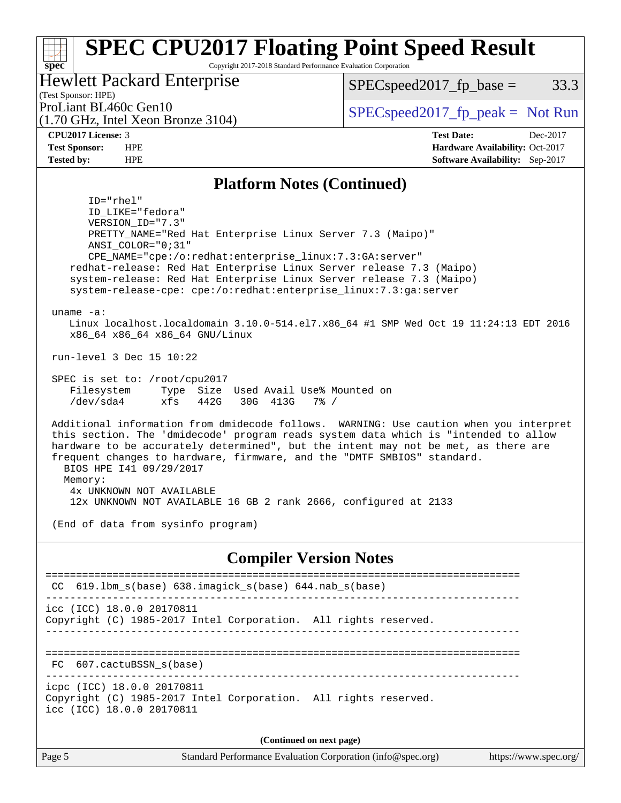Copyright 2017-2018 Standard Performance Evaluation Corporation

### Hewlett Packard Enterprise

 $SPEC speed2017_fp\_base = 33.3$ 

(Test Sponsor: HPE) (1.70 GHz, Intel Xeon Bronze 3104)

ProLiant BL460c Gen10  $SPEC speed2017_fp\_peak = Not Run$ 

**[CPU2017 License:](http://www.spec.org/auto/cpu2017/Docs/result-fields.html#CPU2017License)** 3 **[Test Date:](http://www.spec.org/auto/cpu2017/Docs/result-fields.html#TestDate)** Dec-2017 **[Test Sponsor:](http://www.spec.org/auto/cpu2017/Docs/result-fields.html#TestSponsor)** HPE **[Hardware Availability:](http://www.spec.org/auto/cpu2017/Docs/result-fields.html#HardwareAvailability)** Oct-2017 **[Tested by:](http://www.spec.org/auto/cpu2017/Docs/result-fields.html#Testedby)** HPE **[Software Availability:](http://www.spec.org/auto/cpu2017/Docs/result-fields.html#SoftwareAvailability)** Sep-2017

#### **[Platform Notes \(Continued\)](http://www.spec.org/auto/cpu2017/Docs/result-fields.html#PlatformNotes)**

 ID="rhel" ID\_LIKE="fedora" VERSION\_ID="7.3" PRETTY\_NAME="Red Hat Enterprise Linux Server 7.3 (Maipo)" ANSI\_COLOR="0;31" CPE\_NAME="cpe:/o:redhat:enterprise\_linux:7.3:GA:server" redhat-release: Red Hat Enterprise Linux Server release 7.3 (Maipo) system-release: Red Hat Enterprise Linux Server release 7.3 (Maipo) system-release-cpe: cpe:/o:redhat:enterprise\_linux:7.3:ga:server uname -a: Linux localhost.localdomain 3.10.0-514.el7.x86\_64 #1 SMP Wed Oct 19 11:24:13 EDT 2016 x86\_64 x86\_64 x86\_64 GNU/Linux run-level 3 Dec 15 10:22 SPEC is set to: /root/cpu2017 Filesystem Type Size Used Avail Use% Mounted on /dev/sda4 xfs 442G 30G 413G 7% / Additional information from dmidecode follows. WARNING: Use caution when you interpret this section. The 'dmidecode' program reads system data which is "intended to allow hardware to be accurately determined", but the intent may not be met, as there are frequent changes to hardware, firmware, and the "DMTF SMBIOS" standard. BIOS HPE I41 09/29/2017 Memory: 4x UNKNOWN NOT AVAILABLE 12x UNKNOWN NOT AVAILABLE 16 GB 2 rank 2666, configured at 2133 (End of data from sysinfo program)

#### **[Compiler Version Notes](http://www.spec.org/auto/cpu2017/Docs/result-fields.html#CompilerVersionNotes)**

| CC $619.1$ bm $s(base)$ $638.1$ magick $s(base)$ $644.$ nab $s(base)$                                                      |  |  |  |  |  |
|----------------------------------------------------------------------------------------------------------------------------|--|--|--|--|--|
| icc (ICC) 18.0.0 20170811<br>Copyright (C) 1985-2017 Intel Corporation. All rights reserved.                               |  |  |  |  |  |
| FC 607.cactuBSSN s(base)                                                                                                   |  |  |  |  |  |
| icpc (ICC) 18.0.0 20170811<br>Copyright (C) 1985-2017 Intel Corporation. All rights reserved.<br>icc (ICC) 18.0.0 20170811 |  |  |  |  |  |
| (Continued on next page)                                                                                                   |  |  |  |  |  |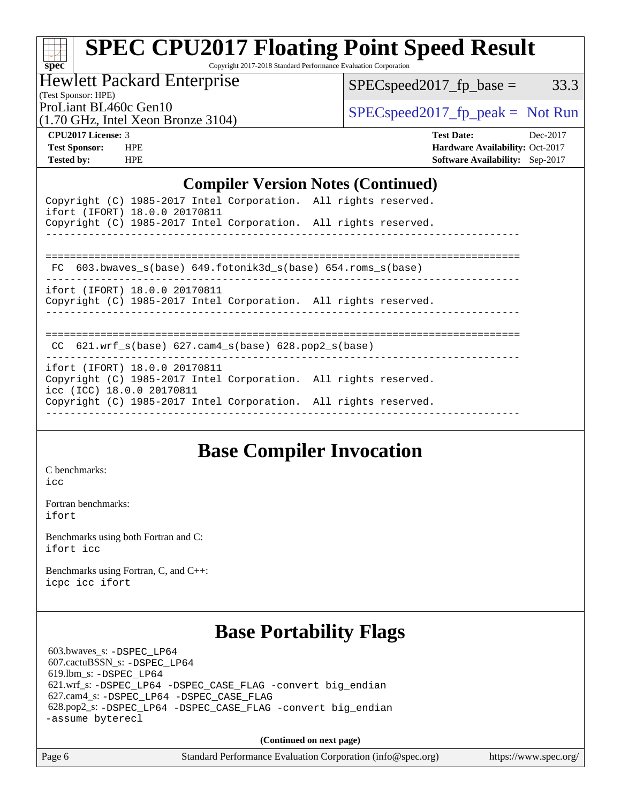Copyright 2017-2018 Standard Performance Evaluation Corporation

Hewlett Packard Enterprise

 $SPEC speed2017_fp\_base = 33.3$ 

(Test Sponsor: HPE)

(1.70 GHz, Intel Xeon Bronze 3104)

ProLiant BL460c Gen10  $SPEC speed2017_fp\_peak = Not Run$ 

**[CPU2017 License:](http://www.spec.org/auto/cpu2017/Docs/result-fields.html#CPU2017License)** 3 **[Test Date:](http://www.spec.org/auto/cpu2017/Docs/result-fields.html#TestDate)** Dec-2017 **[Test Sponsor:](http://www.spec.org/auto/cpu2017/Docs/result-fields.html#TestSponsor)** HPE **[Hardware Availability:](http://www.spec.org/auto/cpu2017/Docs/result-fields.html#HardwareAvailability)** Oct-2017 **[Tested by:](http://www.spec.org/auto/cpu2017/Docs/result-fields.html#Testedby)** HPE **[Software Availability:](http://www.spec.org/auto/cpu2017/Docs/result-fields.html#SoftwareAvailability)** Sep-2017

#### **[Compiler Version Notes \(Continued\)](http://www.spec.org/auto/cpu2017/Docs/result-fields.html#CompilerVersionNotes)**

| ifort (IFORT) 18.0.0 20170811 | Copyright (C) 1985-2017 Intel Corporation. All rights reserved. |  |
|-------------------------------|-----------------------------------------------------------------|--|
|                               | Copyright (C) 1985-2017 Intel Corporation. All rights reserved. |  |
|                               |                                                                 |  |
|                               | FC 603.bwaves s(base) 649.fotonik3d s(base) 654.roms s(base)    |  |
| ifort (IFORT) 18.0.0 20170811 |                                                                 |  |
|                               | Copyright (C) 1985-2017 Intel Corporation. All rights reserved. |  |
|                               |                                                                 |  |
|                               |                                                                 |  |

CC 621.wrf\_s(base) 627.cam4\_s(base) 628.pop2\_s(base)

----------------------------------------------------------------------------- ifort (IFORT) 18.0.0 20170811 Copyright (C) 1985-2017 Intel Corporation. All rights reserved. icc (ICC) 18.0.0 20170811 Copyright (C) 1985-2017 Intel Corporation. All rights reserved. ------------------------------------------------------------------------------

## **[Base Compiler Invocation](http://www.spec.org/auto/cpu2017/Docs/result-fields.html#BaseCompilerInvocation)**

[C benchmarks](http://www.spec.org/auto/cpu2017/Docs/result-fields.html#Cbenchmarks): [icc](http://www.spec.org/cpu2017/results/res2018q2/cpu2017-20171226-02259.flags.html#user_CCbase_intel_icc_18.0_66fc1ee009f7361af1fbd72ca7dcefbb700085f36577c54f309893dd4ec40d12360134090235512931783d35fd58c0460139e722d5067c5574d8eaf2b3e37e92)

[Fortran benchmarks](http://www.spec.org/auto/cpu2017/Docs/result-fields.html#Fortranbenchmarks): [ifort](http://www.spec.org/cpu2017/results/res2018q2/cpu2017-20171226-02259.flags.html#user_FCbase_intel_ifort_18.0_8111460550e3ca792625aed983ce982f94888b8b503583aa7ba2b8303487b4d8a21a13e7191a45c5fd58ff318f48f9492884d4413fa793fd88dd292cad7027ca)

[Benchmarks using both Fortran and C](http://www.spec.org/auto/cpu2017/Docs/result-fields.html#BenchmarksusingbothFortranandC): [ifort](http://www.spec.org/cpu2017/results/res2018q2/cpu2017-20171226-02259.flags.html#user_CC_FCbase_intel_ifort_18.0_8111460550e3ca792625aed983ce982f94888b8b503583aa7ba2b8303487b4d8a21a13e7191a45c5fd58ff318f48f9492884d4413fa793fd88dd292cad7027ca) [icc](http://www.spec.org/cpu2017/results/res2018q2/cpu2017-20171226-02259.flags.html#user_CC_FCbase_intel_icc_18.0_66fc1ee009f7361af1fbd72ca7dcefbb700085f36577c54f309893dd4ec40d12360134090235512931783d35fd58c0460139e722d5067c5574d8eaf2b3e37e92)

[Benchmarks using Fortran, C, and C++:](http://www.spec.org/auto/cpu2017/Docs/result-fields.html#BenchmarksusingFortranCandCXX) [icpc](http://www.spec.org/cpu2017/results/res2018q2/cpu2017-20171226-02259.flags.html#user_CC_CXX_FCbase_intel_icpc_18.0_c510b6838c7f56d33e37e94d029a35b4a7bccf4766a728ee175e80a419847e808290a9b78be685c44ab727ea267ec2f070ec5dc83b407c0218cded6866a35d07) [icc](http://www.spec.org/cpu2017/results/res2018q2/cpu2017-20171226-02259.flags.html#user_CC_CXX_FCbase_intel_icc_18.0_66fc1ee009f7361af1fbd72ca7dcefbb700085f36577c54f309893dd4ec40d12360134090235512931783d35fd58c0460139e722d5067c5574d8eaf2b3e37e92) [ifort](http://www.spec.org/cpu2017/results/res2018q2/cpu2017-20171226-02259.flags.html#user_CC_CXX_FCbase_intel_ifort_18.0_8111460550e3ca792625aed983ce982f94888b8b503583aa7ba2b8303487b4d8a21a13e7191a45c5fd58ff318f48f9492884d4413fa793fd88dd292cad7027ca)

## **[Base Portability Flags](http://www.spec.org/auto/cpu2017/Docs/result-fields.html#BasePortabilityFlags)**

 603.bwaves\_s: [-DSPEC\\_LP64](http://www.spec.org/cpu2017/results/res2018q2/cpu2017-20171226-02259.flags.html#suite_basePORTABILITY603_bwaves_s_DSPEC_LP64) 607.cactuBSSN\_s: [-DSPEC\\_LP64](http://www.spec.org/cpu2017/results/res2018q2/cpu2017-20171226-02259.flags.html#suite_basePORTABILITY607_cactuBSSN_s_DSPEC_LP64) 619.lbm\_s: [-DSPEC\\_LP64](http://www.spec.org/cpu2017/results/res2018q2/cpu2017-20171226-02259.flags.html#suite_basePORTABILITY619_lbm_s_DSPEC_LP64) 621.wrf\_s: [-DSPEC\\_LP64](http://www.spec.org/cpu2017/results/res2018q2/cpu2017-20171226-02259.flags.html#suite_basePORTABILITY621_wrf_s_DSPEC_LP64) [-DSPEC\\_CASE\\_FLAG](http://www.spec.org/cpu2017/results/res2018q2/cpu2017-20171226-02259.flags.html#b621.wrf_s_baseCPORTABILITY_DSPEC_CASE_FLAG) [-convert big\\_endian](http://www.spec.org/cpu2017/results/res2018q2/cpu2017-20171226-02259.flags.html#user_baseFPORTABILITY621_wrf_s_convert_big_endian_c3194028bc08c63ac5d04de18c48ce6d347e4e562e8892b8bdbdc0214820426deb8554edfa529a3fb25a586e65a3d812c835984020483e7e73212c4d31a38223) 627.cam4\_s: [-DSPEC\\_LP64](http://www.spec.org/cpu2017/results/res2018q2/cpu2017-20171226-02259.flags.html#suite_basePORTABILITY627_cam4_s_DSPEC_LP64) [-DSPEC\\_CASE\\_FLAG](http://www.spec.org/cpu2017/results/res2018q2/cpu2017-20171226-02259.flags.html#b627.cam4_s_baseCPORTABILITY_DSPEC_CASE_FLAG) 628.pop2\_s: [-DSPEC\\_LP64](http://www.spec.org/cpu2017/results/res2018q2/cpu2017-20171226-02259.flags.html#suite_basePORTABILITY628_pop2_s_DSPEC_LP64) [-DSPEC\\_CASE\\_FLAG](http://www.spec.org/cpu2017/results/res2018q2/cpu2017-20171226-02259.flags.html#b628.pop2_s_baseCPORTABILITY_DSPEC_CASE_FLAG) [-convert big\\_endian](http://www.spec.org/cpu2017/results/res2018q2/cpu2017-20171226-02259.flags.html#user_baseFPORTABILITY628_pop2_s_convert_big_endian_c3194028bc08c63ac5d04de18c48ce6d347e4e562e8892b8bdbdc0214820426deb8554edfa529a3fb25a586e65a3d812c835984020483e7e73212c4d31a38223) [-assume byterecl](http://www.spec.org/cpu2017/results/res2018q2/cpu2017-20171226-02259.flags.html#user_baseFPORTABILITY628_pop2_s_assume_byterecl_7e47d18b9513cf18525430bbf0f2177aa9bf368bc7a059c09b2c06a34b53bd3447c950d3f8d6c70e3faf3a05c8557d66a5798b567902e8849adc142926523472)

**(Continued on next page)**

Page 6 Standard Performance Evaluation Corporation [\(info@spec.org\)](mailto:info@spec.org) <https://www.spec.org/>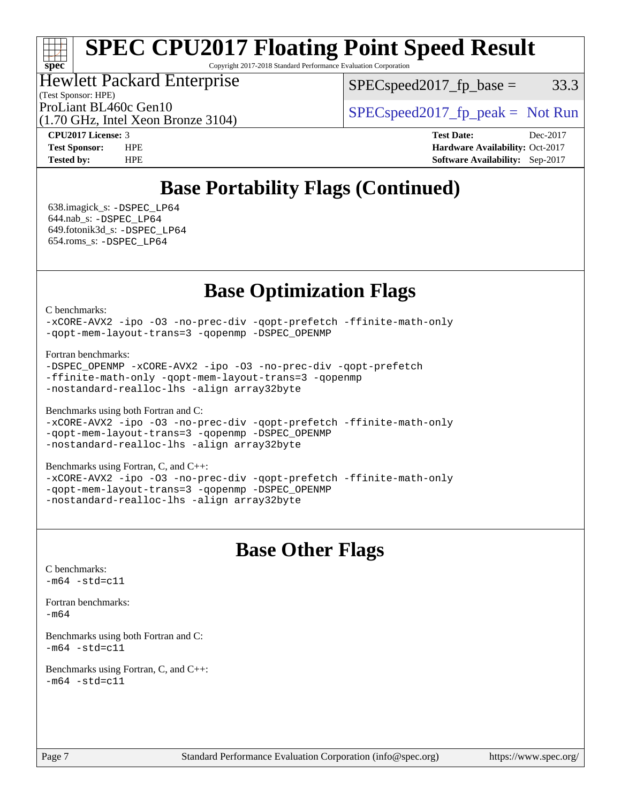Copyright 2017-2018 Standard Performance Evaluation Corporation

### Hewlett Packard Enterprise

(Test Sponsor: HPE)

 $SPEC speed2017_fp\_base = 33.3$ 

(1.70 GHz, Intel Xeon Bronze 3104)

ProLiant BL460c Gen10  $SPEC speed2017_fp\_peak = Not Run$ 

**[spec](http://www.spec.org/)**

**[CPU2017 License:](http://www.spec.org/auto/cpu2017/Docs/result-fields.html#CPU2017License)** 3 **[Test Date:](http://www.spec.org/auto/cpu2017/Docs/result-fields.html#TestDate)** Dec-2017 **[Test Sponsor:](http://www.spec.org/auto/cpu2017/Docs/result-fields.html#TestSponsor)** HPE **[Hardware Availability:](http://www.spec.org/auto/cpu2017/Docs/result-fields.html#HardwareAvailability)** Oct-2017 **[Tested by:](http://www.spec.org/auto/cpu2017/Docs/result-fields.html#Testedby)** HPE **[Software Availability:](http://www.spec.org/auto/cpu2017/Docs/result-fields.html#SoftwareAvailability)** Sep-2017

## **[Base Portability Flags \(Continued\)](http://www.spec.org/auto/cpu2017/Docs/result-fields.html#BasePortabilityFlags)**

 638.imagick\_s: [-DSPEC\\_LP64](http://www.spec.org/cpu2017/results/res2018q2/cpu2017-20171226-02259.flags.html#suite_basePORTABILITY638_imagick_s_DSPEC_LP64) 644.nab\_s: [-DSPEC\\_LP64](http://www.spec.org/cpu2017/results/res2018q2/cpu2017-20171226-02259.flags.html#suite_basePORTABILITY644_nab_s_DSPEC_LP64) 649.fotonik3d\_s: [-DSPEC\\_LP64](http://www.spec.org/cpu2017/results/res2018q2/cpu2017-20171226-02259.flags.html#suite_basePORTABILITY649_fotonik3d_s_DSPEC_LP64) 654.roms\_s: [-DSPEC\\_LP64](http://www.spec.org/cpu2017/results/res2018q2/cpu2017-20171226-02259.flags.html#suite_basePORTABILITY654_roms_s_DSPEC_LP64)

## **[Base Optimization Flags](http://www.spec.org/auto/cpu2017/Docs/result-fields.html#BaseOptimizationFlags)**

[C benchmarks](http://www.spec.org/auto/cpu2017/Docs/result-fields.html#Cbenchmarks):

[-xCORE-AVX2](http://www.spec.org/cpu2017/results/res2018q2/cpu2017-20171226-02259.flags.html#user_CCbase_f-xCORE-AVX2) [-ipo](http://www.spec.org/cpu2017/results/res2018q2/cpu2017-20171226-02259.flags.html#user_CCbase_f-ipo) [-O3](http://www.spec.org/cpu2017/results/res2018q2/cpu2017-20171226-02259.flags.html#user_CCbase_f-O3) [-no-prec-div](http://www.spec.org/cpu2017/results/res2018q2/cpu2017-20171226-02259.flags.html#user_CCbase_f-no-prec-div) [-qopt-prefetch](http://www.spec.org/cpu2017/results/res2018q2/cpu2017-20171226-02259.flags.html#user_CCbase_f-qopt-prefetch) [-ffinite-math-only](http://www.spec.org/cpu2017/results/res2018q2/cpu2017-20171226-02259.flags.html#user_CCbase_f_finite_math_only_cb91587bd2077682c4b38af759c288ed7c732db004271a9512da14a4f8007909a5f1427ecbf1a0fb78ff2a814402c6114ac565ca162485bbcae155b5e4258871) [-qopt-mem-layout-trans=3](http://www.spec.org/cpu2017/results/res2018q2/cpu2017-20171226-02259.flags.html#user_CCbase_f-qopt-mem-layout-trans_de80db37974c74b1f0e20d883f0b675c88c3b01e9d123adea9b28688d64333345fb62bc4a798493513fdb68f60282f9a726aa07f478b2f7113531aecce732043) [-qopenmp](http://www.spec.org/cpu2017/results/res2018q2/cpu2017-20171226-02259.flags.html#user_CCbase_qopenmp_16be0c44f24f464004c6784a7acb94aca937f053568ce72f94b139a11c7c168634a55f6653758ddd83bcf7b8463e8028bb0b48b77bcddc6b78d5d95bb1df2967) [-DSPEC\\_OPENMP](http://www.spec.org/cpu2017/results/res2018q2/cpu2017-20171226-02259.flags.html#suite_CCbase_DSPEC_OPENMP)

[Fortran benchmarks](http://www.spec.org/auto/cpu2017/Docs/result-fields.html#Fortranbenchmarks):

-DSPEC OPENMP [-xCORE-AVX2](http://www.spec.org/cpu2017/results/res2018q2/cpu2017-20171226-02259.flags.html#user_FCbase_f-xCORE-AVX2) [-ipo](http://www.spec.org/cpu2017/results/res2018q2/cpu2017-20171226-02259.flags.html#user_FCbase_f-ipo) [-O3](http://www.spec.org/cpu2017/results/res2018q2/cpu2017-20171226-02259.flags.html#user_FCbase_f-O3) [-no-prec-div](http://www.spec.org/cpu2017/results/res2018q2/cpu2017-20171226-02259.flags.html#user_FCbase_f-no-prec-div) [-qopt-prefetch](http://www.spec.org/cpu2017/results/res2018q2/cpu2017-20171226-02259.flags.html#user_FCbase_f-qopt-prefetch) [-ffinite-math-only](http://www.spec.org/cpu2017/results/res2018q2/cpu2017-20171226-02259.flags.html#user_FCbase_f_finite_math_only_cb91587bd2077682c4b38af759c288ed7c732db004271a9512da14a4f8007909a5f1427ecbf1a0fb78ff2a814402c6114ac565ca162485bbcae155b5e4258871) [-qopt-mem-layout-trans=3](http://www.spec.org/cpu2017/results/res2018q2/cpu2017-20171226-02259.flags.html#user_FCbase_f-qopt-mem-layout-trans_de80db37974c74b1f0e20d883f0b675c88c3b01e9d123adea9b28688d64333345fb62bc4a798493513fdb68f60282f9a726aa07f478b2f7113531aecce732043) [-qopenmp](http://www.spec.org/cpu2017/results/res2018q2/cpu2017-20171226-02259.flags.html#user_FCbase_qopenmp_16be0c44f24f464004c6784a7acb94aca937f053568ce72f94b139a11c7c168634a55f6653758ddd83bcf7b8463e8028bb0b48b77bcddc6b78d5d95bb1df2967) [-nostandard-realloc-lhs](http://www.spec.org/cpu2017/results/res2018q2/cpu2017-20171226-02259.flags.html#user_FCbase_f_2003_std_realloc_82b4557e90729c0f113870c07e44d33d6f5a304b4f63d4c15d2d0f1fab99f5daaed73bdb9275d9ae411527f28b936061aa8b9c8f2d63842963b95c9dd6426b8a) [-align array32byte](http://www.spec.org/cpu2017/results/res2018q2/cpu2017-20171226-02259.flags.html#user_FCbase_align_array32byte_b982fe038af199962ba9a80c053b8342c548c85b40b8e86eb3cc33dee0d7986a4af373ac2d51c3f7cf710a18d62fdce2948f201cd044323541f22fc0fffc51b6)

[Benchmarks using both Fortran and C](http://www.spec.org/auto/cpu2017/Docs/result-fields.html#BenchmarksusingbothFortranandC):

[-xCORE-AVX2](http://www.spec.org/cpu2017/results/res2018q2/cpu2017-20171226-02259.flags.html#user_CC_FCbase_f-xCORE-AVX2) [-ipo](http://www.spec.org/cpu2017/results/res2018q2/cpu2017-20171226-02259.flags.html#user_CC_FCbase_f-ipo) [-O3](http://www.spec.org/cpu2017/results/res2018q2/cpu2017-20171226-02259.flags.html#user_CC_FCbase_f-O3) [-no-prec-div](http://www.spec.org/cpu2017/results/res2018q2/cpu2017-20171226-02259.flags.html#user_CC_FCbase_f-no-prec-div) [-qopt-prefetch](http://www.spec.org/cpu2017/results/res2018q2/cpu2017-20171226-02259.flags.html#user_CC_FCbase_f-qopt-prefetch) [-ffinite-math-only](http://www.spec.org/cpu2017/results/res2018q2/cpu2017-20171226-02259.flags.html#user_CC_FCbase_f_finite_math_only_cb91587bd2077682c4b38af759c288ed7c732db004271a9512da14a4f8007909a5f1427ecbf1a0fb78ff2a814402c6114ac565ca162485bbcae155b5e4258871) [-qopt-mem-layout-trans=3](http://www.spec.org/cpu2017/results/res2018q2/cpu2017-20171226-02259.flags.html#user_CC_FCbase_f-qopt-mem-layout-trans_de80db37974c74b1f0e20d883f0b675c88c3b01e9d123adea9b28688d64333345fb62bc4a798493513fdb68f60282f9a726aa07f478b2f7113531aecce732043) [-qopenmp](http://www.spec.org/cpu2017/results/res2018q2/cpu2017-20171226-02259.flags.html#user_CC_FCbase_qopenmp_16be0c44f24f464004c6784a7acb94aca937f053568ce72f94b139a11c7c168634a55f6653758ddd83bcf7b8463e8028bb0b48b77bcddc6b78d5d95bb1df2967) [-DSPEC\\_OPENMP](http://www.spec.org/cpu2017/results/res2018q2/cpu2017-20171226-02259.flags.html#suite_CC_FCbase_DSPEC_OPENMP) [-nostandard-realloc-lhs](http://www.spec.org/cpu2017/results/res2018q2/cpu2017-20171226-02259.flags.html#user_CC_FCbase_f_2003_std_realloc_82b4557e90729c0f113870c07e44d33d6f5a304b4f63d4c15d2d0f1fab99f5daaed73bdb9275d9ae411527f28b936061aa8b9c8f2d63842963b95c9dd6426b8a) [-align array32byte](http://www.spec.org/cpu2017/results/res2018q2/cpu2017-20171226-02259.flags.html#user_CC_FCbase_align_array32byte_b982fe038af199962ba9a80c053b8342c548c85b40b8e86eb3cc33dee0d7986a4af373ac2d51c3f7cf710a18d62fdce2948f201cd044323541f22fc0fffc51b6)

[Benchmarks using Fortran, C, and C++:](http://www.spec.org/auto/cpu2017/Docs/result-fields.html#BenchmarksusingFortranCandCXX)

[-xCORE-AVX2](http://www.spec.org/cpu2017/results/res2018q2/cpu2017-20171226-02259.flags.html#user_CC_CXX_FCbase_f-xCORE-AVX2) [-ipo](http://www.spec.org/cpu2017/results/res2018q2/cpu2017-20171226-02259.flags.html#user_CC_CXX_FCbase_f-ipo) [-O3](http://www.spec.org/cpu2017/results/res2018q2/cpu2017-20171226-02259.flags.html#user_CC_CXX_FCbase_f-O3) [-no-prec-div](http://www.spec.org/cpu2017/results/res2018q2/cpu2017-20171226-02259.flags.html#user_CC_CXX_FCbase_f-no-prec-div) [-qopt-prefetch](http://www.spec.org/cpu2017/results/res2018q2/cpu2017-20171226-02259.flags.html#user_CC_CXX_FCbase_f-qopt-prefetch) [-ffinite-math-only](http://www.spec.org/cpu2017/results/res2018q2/cpu2017-20171226-02259.flags.html#user_CC_CXX_FCbase_f_finite_math_only_cb91587bd2077682c4b38af759c288ed7c732db004271a9512da14a4f8007909a5f1427ecbf1a0fb78ff2a814402c6114ac565ca162485bbcae155b5e4258871) [-qopt-mem-layout-trans=3](http://www.spec.org/cpu2017/results/res2018q2/cpu2017-20171226-02259.flags.html#user_CC_CXX_FCbase_f-qopt-mem-layout-trans_de80db37974c74b1f0e20d883f0b675c88c3b01e9d123adea9b28688d64333345fb62bc4a798493513fdb68f60282f9a726aa07f478b2f7113531aecce732043) [-qopenmp](http://www.spec.org/cpu2017/results/res2018q2/cpu2017-20171226-02259.flags.html#user_CC_CXX_FCbase_qopenmp_16be0c44f24f464004c6784a7acb94aca937f053568ce72f94b139a11c7c168634a55f6653758ddd83bcf7b8463e8028bb0b48b77bcddc6b78d5d95bb1df2967) [-DSPEC\\_OPENMP](http://www.spec.org/cpu2017/results/res2018q2/cpu2017-20171226-02259.flags.html#suite_CC_CXX_FCbase_DSPEC_OPENMP) [-nostandard-realloc-lhs](http://www.spec.org/cpu2017/results/res2018q2/cpu2017-20171226-02259.flags.html#user_CC_CXX_FCbase_f_2003_std_realloc_82b4557e90729c0f113870c07e44d33d6f5a304b4f63d4c15d2d0f1fab99f5daaed73bdb9275d9ae411527f28b936061aa8b9c8f2d63842963b95c9dd6426b8a) [-align array32byte](http://www.spec.org/cpu2017/results/res2018q2/cpu2017-20171226-02259.flags.html#user_CC_CXX_FCbase_align_array32byte_b982fe038af199962ba9a80c053b8342c548c85b40b8e86eb3cc33dee0d7986a4af373ac2d51c3f7cf710a18d62fdce2948f201cd044323541f22fc0fffc51b6)

## **[Base Other Flags](http://www.spec.org/auto/cpu2017/Docs/result-fields.html#BaseOtherFlags)**

[C benchmarks](http://www.spec.org/auto/cpu2017/Docs/result-fields.html#Cbenchmarks):  $-m64 - std= c11$  $-m64 - std= c11$ [Fortran benchmarks](http://www.spec.org/auto/cpu2017/Docs/result-fields.html#Fortranbenchmarks): [-m64](http://www.spec.org/cpu2017/results/res2018q2/cpu2017-20171226-02259.flags.html#user_FCbase_intel_intel64_18.0_af43caccfc8ded86e7699f2159af6efc7655f51387b94da716254467f3c01020a5059329e2569e4053f409e7c9202a7efc638f7a6d1ffb3f52dea4a3e31d82ab) [Benchmarks using both Fortran and C](http://www.spec.org/auto/cpu2017/Docs/result-fields.html#BenchmarksusingbothFortranandC):  $-m64 - std = c11$  $-m64 - std = c11$ [Benchmarks using Fortran, C, and C++:](http://www.spec.org/auto/cpu2017/Docs/result-fields.html#BenchmarksusingFortranCandCXX)  $-m64 - std = c11$  $-m64 - std = c11$